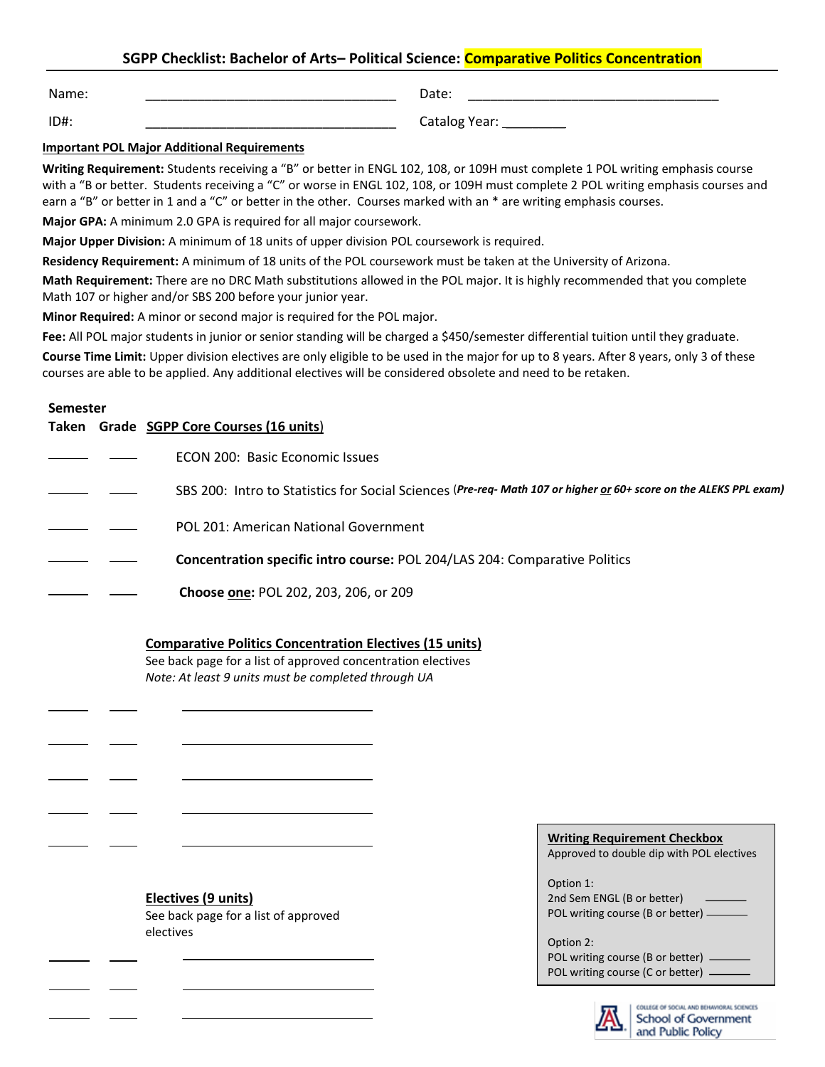# **SGPP Checklist: Bachelor of Arts– Political Science: Comparative Politics Concentration**

Name: \_\_\_\_\_\_\_\_\_\_\_\_\_\_\_\_\_\_\_\_\_\_\_\_\_\_\_\_\_\_\_\_\_\_

ID#: \_\_\_\_\_\_\_\_\_\_\_\_\_\_\_\_\_\_\_\_\_\_\_\_\_\_\_\_\_\_\_\_\_\_

Catalog Year: \_\_\_\_\_\_\_\_\_\_

### **Important POL Major Additional Requirements**

**Writing Requirement:** Students receiving a "B" or better in ENGL 102, 108, or 109H must complete 1 POL writing emphasis course with a "B or better. Students receiving a "C" or worse in ENGL 102, 108, or 109H must complete 2 POL writing emphasis courses and earn a "B" or better in 1 and a "C" or better in the other. Courses marked with an \* are writing emphasis courses.

**Major GPA:** A minimum 2.0 GPA is required for all major coursework.

**Major Upper Division:** A minimum of 18 units of upper division POL coursework is required.

**Residency Requirement:** A minimum of 18 units of the POL coursework must be taken at the University of Arizona.

**Math Requirement:** There are no DRC Math substitutions allowed in the POL major. It is highly recommended that you complete Math 107 or higher and/or SBS 200 before your junior year.

**Minor Required:** A minor or second major is required for the POL major.

Fee: All POL major students in junior or senior standing will be charged a \$450/semester differential tuition until they graduate.

**Course Time Limit:** Upper division electives are only eligible to be used in the major for up to 8 years. After 8 years, only 3 of these courses are able to be applied. Any additional electives will be considered obsolete and need to be retaken.

#### **Semester**

<u>.</u>

 $\overline{a}$ 

|  | Taken Grade SGPP Core Courses (16 units)                                                                          |
|--|-------------------------------------------------------------------------------------------------------------------|
|  | ECON 200: Basic Economic Issues                                                                                   |
|  | SBS 200: Intro to Statistics for Social Sciences (Pre-req- Math 107 or higher or 60+ score on the ALEKS PPL exam) |
|  | POL 201: American National Government                                                                             |
|  | Concentration specific intro course: POL 204/LAS 204: Comparative Politics                                        |
|  | Choose one: POL 202, 203, 206, or 209                                                                             |

### **Comparative Politics Concentration Electives (15 units)**

See back page for a list of approved concentration electives *Note: At least 9 units must be completed through UA*

### **Electives (9 units)**

See back page for a list of approved electives

| Approved to double dip with POL electives |
|-------------------------------------------|
| Option 1:                                 |
| 2nd Sem ENGL (B or better)                |
| POL writing course (B or better) —        |

**Writing Requirement Checkbox**

Option 2: POL writing course (B or better) -POL writing course (C or better) -



COLLEGE OF SOCIAL AND BEHAVIORAL SCIENCES School of Government and Public Policy